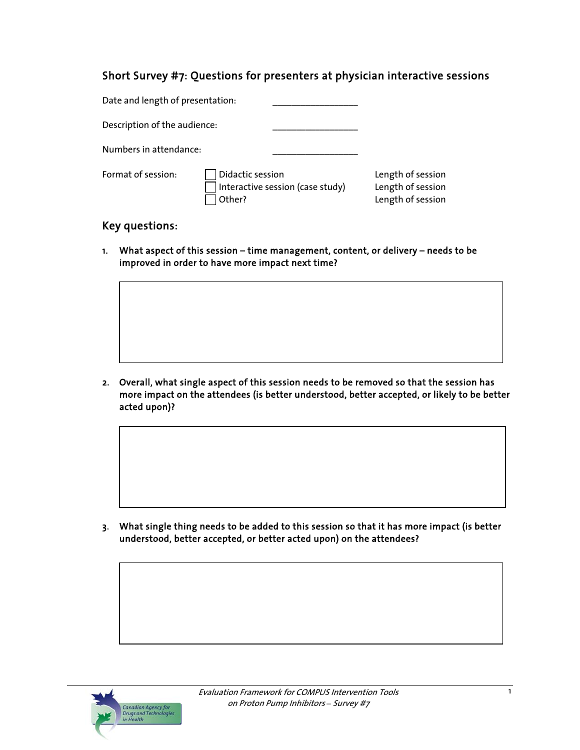# Short Survey #7: Questions for presenters at physician interactive sessions

| Date and length of presentation: |                            |                                  |                                                             |
|----------------------------------|----------------------------|----------------------------------|-------------------------------------------------------------|
| Description of the audience:     |                            |                                  |                                                             |
| Numbers in attendance:           |                            |                                  |                                                             |
| Format of session:               | Didactic session<br>Other? | Interactive session (case study) | Length of session<br>Length of session<br>Length of session |

## Key questions:

1. What aspect of this session – time management, content, or delivery – needs to be improved in order to have more impact next time?

2. Overall, what single aspect of this session needs to be removed so that the session has more impact on the attendees (is better understood, better accepted, or likely to be better acted upon)?

3. What single thing needs to be added to this session so that it has more impact (is better understood, better accepted, or better acted upon) on the attendees?

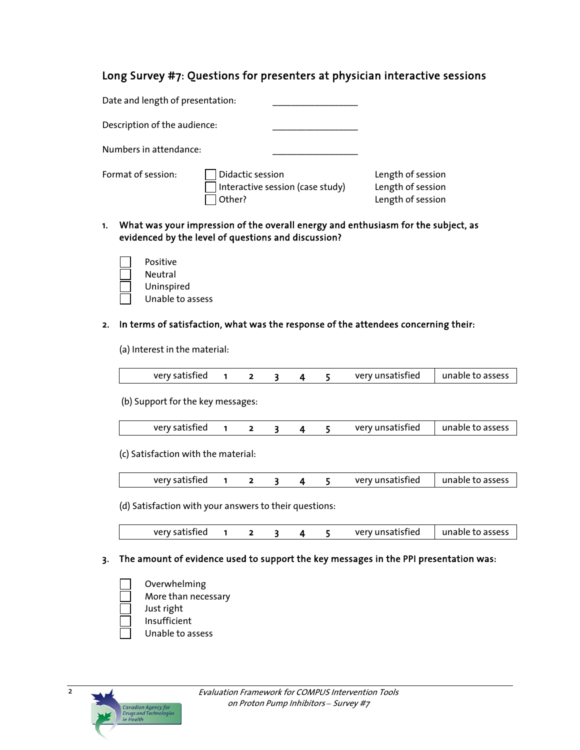## Long Survey #7: Questions for presenters at physician interactive sessions

| Date and length of presentation: |                                                                |                                                             |
|----------------------------------|----------------------------------------------------------------|-------------------------------------------------------------|
| Description of the audience:     |                                                                |                                                             |
| Numbers in attendance:           |                                                                |                                                             |
| Format of session:               | Didactic session<br>Interactive session (case study)<br>Other? | Length of session<br>Length of session<br>Length of session |

- 1. What was your impression of the overall energy and enthusiasm for the subject, as evidenced by the level of questions and discussion?
	- Positive Neutral Uninspired Unable to assess

#### 2. In terms of satisfaction, what was the response of the attendees concerning their:

(a) Interest in the material:

|  | verv satisfied | unable to assess<br>very unsatisfied $\vert \vert$ |
|--|----------------|----------------------------------------------------|
|--|----------------|----------------------------------------------------|

(b) Support for the key messages:

| very satisfied |  |  |  |  | verv unsatisfied | unable to assess |
|----------------|--|--|--|--|------------------|------------------|
|----------------|--|--|--|--|------------------|------------------|

(c) Satisfaction with the material:

|  |  | very satisfied |  |  |  |  |  | very unsatisfied | unable to assess |
|--|--|----------------|--|--|--|--|--|------------------|------------------|
|--|--|----------------|--|--|--|--|--|------------------|------------------|

(d) Satisfaction with your answers to their questions:

| very satisfied |  |  | very unsatisfied | unable to assess |
|----------------|--|--|------------------|------------------|

### 3. The amount of evidence used to support the key messages in the PPI presentation was:

- Overwhelming More than necessary Just right
- 
- Insufficient
- Unable to assess

2